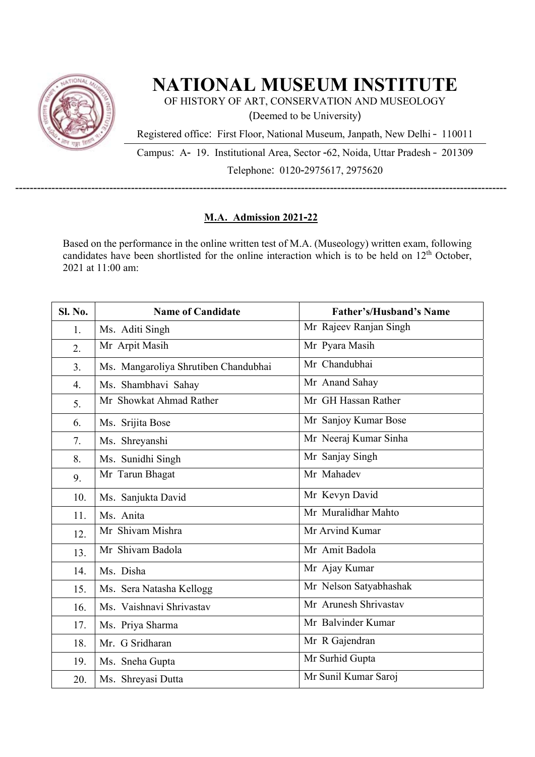

## **NATIONAL MUSEUM INSTITUTE**

OF HISTORY OF ART, CONSERVATION AND MUSEOLOGY (Deemed to be University)

Registered office: First Floor, National Museum, Janpath, New Delhi – 110011

Campus: A- 19. Institutional Area, Sector -62, Noida, Uttar Pradesh – 201309 Telephone: 0120-2975617, 2975620

## **M.A. Admission 2021-22**

----------------------------------------------------------------------------------------------------------------------------------------

Based on the performance in the online written test of M.A. (Museology) written exam, following candidates have been shortlisted for the online interaction which is to be held on  $12^{th}$  October, 2021 at 11:00 am:

| Sl. No.          | <b>Name of Candidate</b>             | <b>Father's/Husband's Name</b> |
|------------------|--------------------------------------|--------------------------------|
| 1.               | Ms. Aditi Singh                      | Mr Rajeev Ranjan Singh         |
| 2.               | Mr Arpit Masih                       | Mr Pyara Masih                 |
| 3 <sub>1</sub>   | Ms. Mangaroliya Shrutiben Chandubhai | Mr Chandubhai                  |
| $\overline{4}$ . | Ms. Shambhavi Sahay                  | Mr Anand Sahay                 |
| 5.               | Mr Showkat Ahmad Rather              | Mr GH Hassan Rather            |
| 6.               | Ms. Srijita Bose                     | Mr Sanjoy Kumar Bose           |
| 7.               | Ms. Shreyanshi                       | Mr Neeraj Kumar Sinha          |
| 8.               | Ms. Sunidhi Singh                    | Mr Sanjay Singh                |
| 9.               | Mr Tarun Bhagat                      | Mr Mahadev                     |
| 10.              | Ms. Sanjukta David                   | Mr Kevyn David                 |
| 11.              | Ms. Anita                            | Mr Muralidhar Mahto            |
| 12.              | Mr Shivam Mishra                     | Mr Arvind Kumar                |
| 13.              | Mr Shivam Badola                     | Mr Amit Badola                 |
| 14.              | Ms. Disha                            | Mr Ajay Kumar                  |
| 15.              | Ms. Sera Natasha Kellogg             | Mr Nelson Satyabhashak         |
| 16.              | Ms. Vaishnavi Shrivastav             | Mr Arunesh Shrivastav          |
| 17.              | Ms. Priya Sharma                     | Mr Balvinder Kumar             |
| 18.              | Mr. G Sridharan                      | Mr R Gajendran                 |
| 19.              | Ms. Sneha Gupta                      | Mr Surhid Gupta                |
| 20.              | Ms. Shreyasi Dutta                   | Mr Sunil Kumar Saroj           |